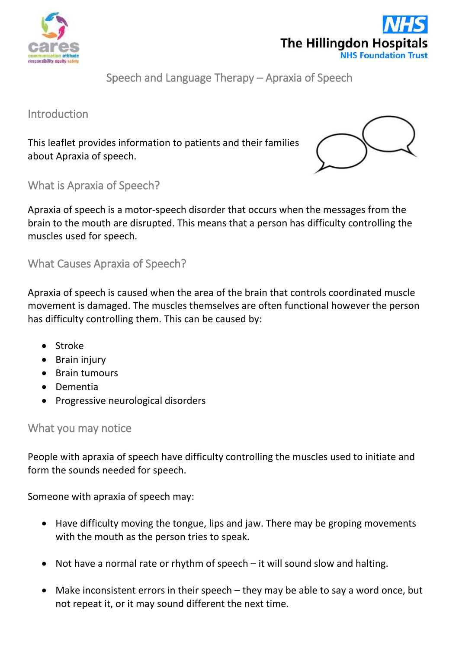



Speech and Language Therapy – Apraxia of Speech

Introduction

This leaflet provides information to patients and their families about Apraxia of speech.



What is Apraxia of Speech?

Apraxia of speech is a motor-speech disorder that occurs when the messages from the brain to the mouth are disrupted. This means that a person has difficulty controlling the muscles used for speech.

What Causes Apraxia of Speech?

Apraxia of speech is caused when the area of the brain that controls coordinated muscle movement is damaged. The muscles themselves are often functional however the person has difficulty controlling them. This can be caused by:

- Stroke
- Brain injury
- Brain tumours
- Dementia
- Progressive neurological disorders

## What you may notice

People with apraxia of speech have difficulty controlling the muscles used to initiate and form the sounds needed for speech.

Someone with apraxia of speech may:

- Have difficulty moving the tongue, lips and jaw. There may be groping movements with the mouth as the person tries to speak.
- Not have a normal rate or rhythm of speech it will sound slow and halting.
- Make inconsistent errors in their speech they may be able to say a word once, but not repeat it, or it may sound different the next time.